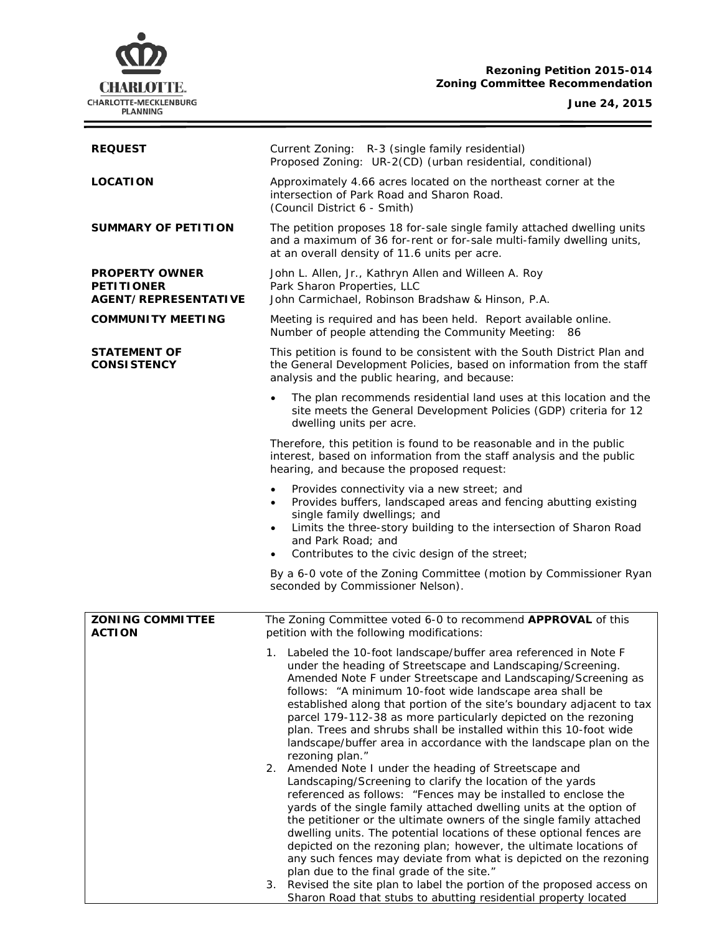# **CHARLOTTE.** CHARLOTTE-MECKLENBURG<br>PLANNING

## **Rezoning Petition 2015-014 Zoning Committee Recommendation**

**June 24, 2015**

 $\equiv$ 

| <b>REQUEST</b>                                                            | Current Zoning: R-3 (single family residential)<br>Proposed Zoning: UR-2(CD) (urban residential, conditional)                                                                                                                                                                                                                                                                                                                                                                                                                                                                                                                                                                                       |  |
|---------------------------------------------------------------------------|-----------------------------------------------------------------------------------------------------------------------------------------------------------------------------------------------------------------------------------------------------------------------------------------------------------------------------------------------------------------------------------------------------------------------------------------------------------------------------------------------------------------------------------------------------------------------------------------------------------------------------------------------------------------------------------------------------|--|
| <b>LOCATION</b>                                                           | Approximately 4.66 acres located on the northeast corner at the<br>intersection of Park Road and Sharon Road.<br>(Council District 6 - Smith)                                                                                                                                                                                                                                                                                                                                                                                                                                                                                                                                                       |  |
| SUMMARY OF PETITION                                                       | The petition proposes 18 for-sale single family attached dwelling units<br>and a maximum of 36 for-rent or for-sale multi-family dwelling units,<br>at an overall density of 11.6 units per acre.                                                                                                                                                                                                                                                                                                                                                                                                                                                                                                   |  |
| <b>PROPERTY OWNER</b><br><b>PETITIONER</b><br><b>AGENT/REPRESENTATIVE</b> | John L. Allen, Jr., Kathryn Allen and Willeen A. Roy<br>Park Sharon Properties, LLC<br>John Carmichael, Robinson Bradshaw & Hinson, P.A.                                                                                                                                                                                                                                                                                                                                                                                                                                                                                                                                                            |  |
| <b>COMMUNITY MEETING</b>                                                  | Meeting is required and has been held. Report available online.<br>Number of people attending the Community Meeting: 86                                                                                                                                                                                                                                                                                                                                                                                                                                                                                                                                                                             |  |
| <b>STATEMENT OF</b><br><b>CONSISTENCY</b>                                 | This petition is found to be consistent with the South District Plan and<br>the General Development Policies, based on information from the staff<br>analysis and the public hearing, and because:                                                                                                                                                                                                                                                                                                                                                                                                                                                                                                  |  |
|                                                                           | The plan recommends residential land uses at this location and the<br>site meets the General Development Policies (GDP) criteria for 12<br>dwelling units per acre.                                                                                                                                                                                                                                                                                                                                                                                                                                                                                                                                 |  |
|                                                                           | Therefore, this petition is found to be reasonable and in the public<br>interest, based on information from the staff analysis and the public<br>hearing, and because the proposed request:                                                                                                                                                                                                                                                                                                                                                                                                                                                                                                         |  |
|                                                                           | Provides connectivity via a new street; and<br>Provides buffers, landscaped areas and fencing abutting existing<br>single family dwellings; and<br>Limits the three-story building to the intersection of Sharon Road<br>$\bullet$<br>and Park Road; and<br>Contributes to the civic design of the street;                                                                                                                                                                                                                                                                                                                                                                                          |  |
|                                                                           | By a 6-0 vote of the Zoning Committee (motion by Commissioner Ryan<br>seconded by Commissioner Nelson).                                                                                                                                                                                                                                                                                                                                                                                                                                                                                                                                                                                             |  |
| <b>ZONING COMMITTEE</b><br><b>ACTION</b>                                  | The Zoning Committee voted 6-0 to recommend APPROVAL of this<br>petition with the following modifications:                                                                                                                                                                                                                                                                                                                                                                                                                                                                                                                                                                                          |  |
|                                                                           | 1. Labeled the 10-foot landscape/buffer area referenced in Note F<br>under the heading of Streetscape and Landscaping/Screening.<br>Amended Note F under Streetscape and Landscaping/Screening as<br>follows: "A minimum 10-foot wide landscape area shall be<br>established along that portion of the site's boundary adjacent to tax<br>parcel 179-112-38 as more particularly depicted on the rezoning<br>plan. Trees and shrubs shall be installed within this 10-foot wide<br>landscape/buffer area in accordance with the landscape plan on the<br>rezoning plan."<br>Amended Note I under the heading of Streetscape and<br>2.<br>Landscaping/Screening to clarify the location of the yards |  |
|                                                                           | referenced as follows: "Fences may be installed to enclose the<br>yards of the single family attached dwelling units at the option of<br>the petitioner or the ultimate owners of the single family attached<br>dwelling units. The potential locations of these optional fences are<br>depicted on the rezoning plan; however, the ultimate locations of<br>any such fences may deviate from what is depicted on the rezoning<br>plan due to the final grade of the site."<br>3. Revised the site plan to label the portion of the proposed access on<br>Sharon Road that stubs to abutting residential property located                                                                           |  |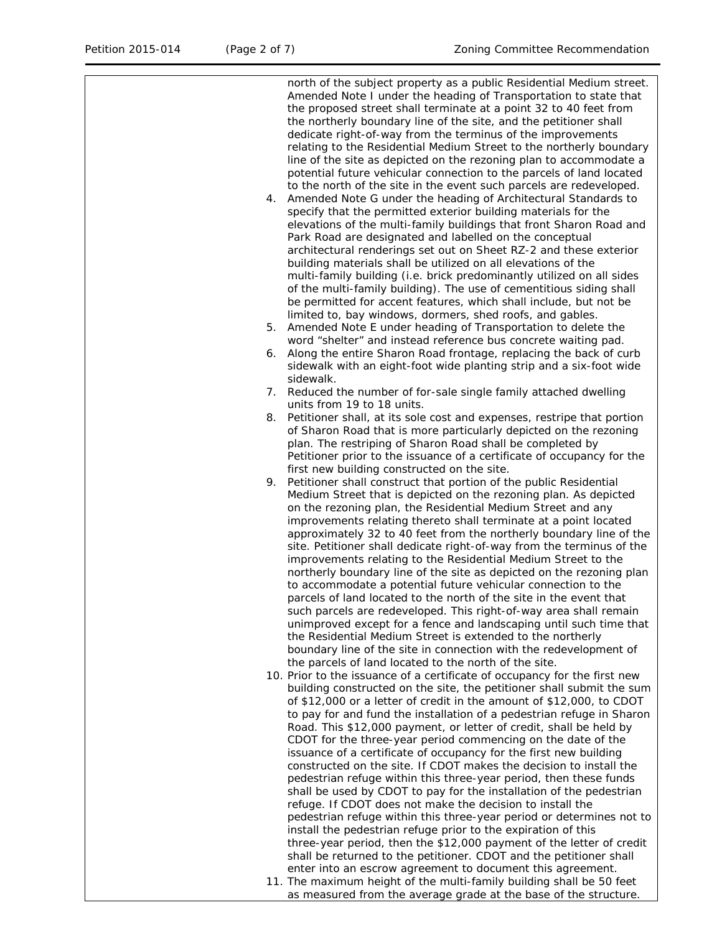north of the subject property as a public Residential Medium street. Amended Note I under the heading of Transportation to state that the proposed street shall terminate at a point 32 to 40 feet from the northerly boundary line of the site, and the petitioner shall dedicate right-of-way from the terminus of the improvements relating to the Residential Medium Street to the northerly boundary line of the site as depicted on the rezoning plan to accommodate a potential future vehicular connection to the parcels of land located to the north of the site in the event such parcels are redeveloped. 4. Amended Note G under the heading of Architectural Standards to

- specify that the permitted exterior building materials for the elevations of the multi-family buildings that front Sharon Road and Park Road are designated and labelled on the conceptual architectural renderings set out on Sheet RZ-2 and these exterior building materials shall be utilized on all elevations of the multi-family building (i.e. brick predominantly utilized on all sides of the multi-family building). The use of cementitious siding shall be permitted for accent features, which shall include, but not be limited to, bay windows, dormers, shed roofs, and gables.
- 5. Amended Note E under heading of Transportation to delete the word "shelter" and instead reference bus concrete waiting pad.
- 6. Along the entire Sharon Road frontage, replacing the back of curb sidewalk with an eight-foot wide planting strip and a six-foot wide sidewalk.
- 7. Reduced the number of for-sale single family attached dwelling units from 19 to 18 units.
- 8. Petitioner shall, at its sole cost and expenses, restripe that portion of Sharon Road that is more particularly depicted on the rezoning plan. The restriping of Sharon Road shall be completed by Petitioner prior to the issuance of a certificate of occupancy for the first new building constructed on the site.
- 9. Petitioner shall construct that portion of the public Residential Medium Street that is depicted on the rezoning plan. As depicted on the rezoning plan, the Residential Medium Street and any improvements relating thereto shall terminate at a point located approximately 32 to 40 feet from the northerly boundary line of the site. Petitioner shall dedicate right-of-way from the terminus of the improvements relating to the Residential Medium Street to the northerly boundary line of the site as depicted on the rezoning plan to accommodate a potential future vehicular connection to the parcels of land located to the north of the site in the event that such parcels are redeveloped. This right-of-way area shall remain unimproved except for a fence and landscaping until such time that the Residential Medium Street is extended to the northerly boundary line of the site in connection with the redevelopment of the parcels of land located to the north of the site.
- 10. Prior to the issuance of a certificate of occupancy for the first new building constructed on the site, the petitioner shall submit the sum of \$12,000 or a letter of credit in the amount of \$12,000, to CDOT to pay for and fund the installation of a pedestrian refuge in Sharon Road. This \$12,000 payment, or letter of credit, shall be held by CDOT for the three-year period commencing on the date of the issuance of a certificate of occupancy for the first new building constructed on the site. If CDOT makes the decision to install the pedestrian refuge within this three-year period, then these funds shall be used by CDOT to pay for the installation of the pedestrian refuge. If CDOT does not make the decision to install the pedestrian refuge within this three-year period or determines not to install the pedestrian refuge prior to the expiration of this three-year period, then the \$12,000 payment of the letter of credit shall be returned to the petitioner. CDOT and the petitioner shall enter into an escrow agreement to document this agreement.
- 11. The maximum height of the multi-family building shall be 50 feet as measured from the average grade at the base of the structure.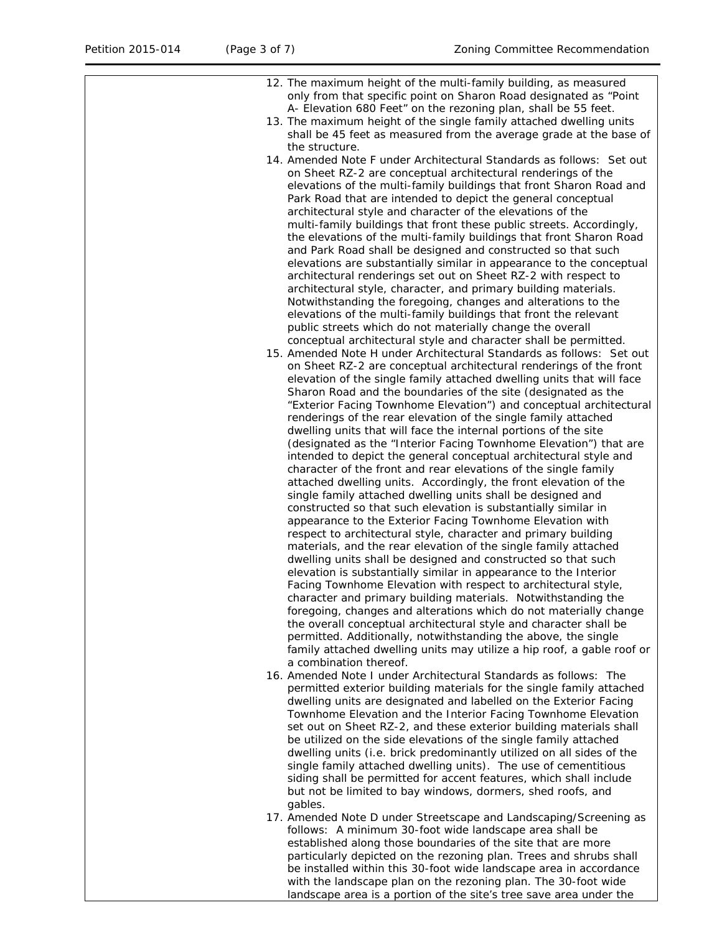| 12. The maximum height of the multi-family building, as measured<br>only from that specific point on Sharon Road designated as "Point     |
|-------------------------------------------------------------------------------------------------------------------------------------------|
| A- Elevation 680 Feet" on the rezoning plan, shall be 55 feet.                                                                            |
| 13. The maximum height of the single family attached dwelling units                                                                       |
| shall be 45 feet as measured from the average grade at the base of                                                                        |
| the structure.                                                                                                                            |
| 14. Amended Note F under Architectural Standards as follows: Set out                                                                      |
| on Sheet RZ-2 are conceptual architectural renderings of the<br>elevations of the multi-family buildings that front Sharon Road and       |
| Park Road that are intended to depict the general conceptual                                                                              |
| architectural style and character of the elevations of the                                                                                |
| multi-family buildings that front these public streets. Accordingly,                                                                      |
| the elevations of the multi-family buildings that front Sharon Road                                                                       |
| and Park Road shall be designed and constructed so that such                                                                              |
| elevations are substantially similar in appearance to the conceptual                                                                      |
| architectural renderings set out on Sheet RZ-2 with respect to<br>architectural style, character, and primary building materials.         |
| Notwithstanding the foregoing, changes and alterations to the                                                                             |
| elevations of the multi-family buildings that front the relevant                                                                          |
| public streets which do not materially change the overall                                                                                 |
| conceptual architectural style and character shall be permitted.                                                                          |
| 15. Amended Note H under Architectural Standards as follows: Set out                                                                      |
| on Sheet RZ-2 are conceptual architectural renderings of the front                                                                        |
| elevation of the single family attached dwelling units that will face<br>Sharon Road and the boundaries of the site (designated as the    |
| "Exterior Facing Townhome Elevation") and conceptual architectural                                                                        |
| renderings of the rear elevation of the single family attached                                                                            |
| dwelling units that will face the internal portions of the site                                                                           |
| (designated as the "Interior Facing Townhome Elevation") that are                                                                         |
| intended to depict the general conceptual architectural style and                                                                         |
| character of the front and rear elevations of the single family                                                                           |
| attached dwelling units. Accordingly, the front elevation of the<br>single family attached dwelling units shall be designed and           |
| constructed so that such elevation is substantially similar in                                                                            |
| appearance to the Exterior Facing Townhome Elevation with                                                                                 |
| respect to architectural style, character and primary building                                                                            |
| materials, and the rear elevation of the single family attached                                                                           |
| dwelling units shall be designed and constructed so that such<br>elevation is substantially similar in appearance to the Interior         |
| Facing Townhome Elevation with respect to architectural style,                                                                            |
| character and primary building materials. Notwithstanding the                                                                             |
| foregoing, changes and alterations which do not materially change                                                                         |
| the overall conceptual architectural style and character shall be                                                                         |
| permitted. Additionally, notwithstanding the above, the single                                                                            |
| family attached dwelling units may utilize a hip roof, a gable roof or<br>a combination thereof.                                          |
| 16. Amended Note I under Architectural Standards as follows: The                                                                          |
| permitted exterior building materials for the single family attached                                                                      |
| dwelling units are designated and labelled on the Exterior Facing                                                                         |
| Townhome Elevation and the Interior Facing Townhome Elevation                                                                             |
| set out on Sheet RZ-2, and these exterior building materials shall                                                                        |
| be utilized on the side elevations of the single family attached<br>dwelling units (i.e. brick predominantly utilized on all sides of the |
| single family attached dwelling units). The use of cementitious                                                                           |
| siding shall be permitted for accent features, which shall include                                                                        |
| but not be limited to bay windows, dormers, shed roofs, and                                                                               |
| gables.                                                                                                                                   |
| 17. Amended Note D under Streetscape and Landscaping/Screening as                                                                         |
| follows: A minimum 30-foot wide landscape area shall be<br>established along those boundaries of the site that are more                   |
| particularly depicted on the rezoning plan. Trees and shrubs shall                                                                        |
| be installed within this 30-foot wide landscape area in accordance                                                                        |
| with the landscape plan on the rezoning plan. The 30-foot wide                                                                            |
| landscape area is a portion of the site's tree save area under the                                                                        |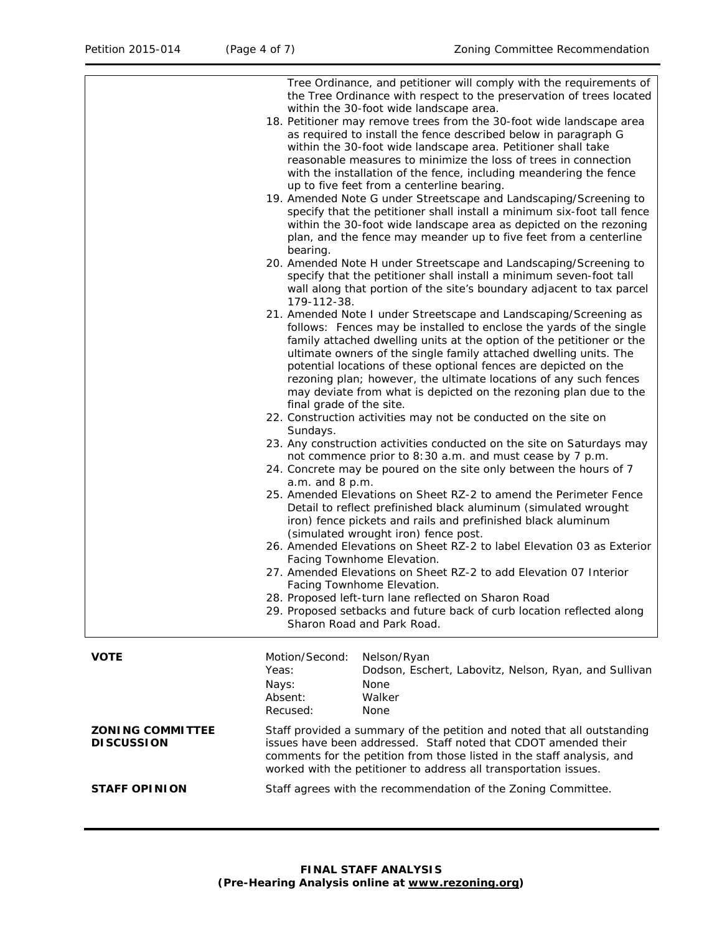|                                              | Tree Ordinance, and petitioner will comply with the requirements of<br>the Tree Ordinance with respect to the preservation of trees located<br>within the 30-foot wide landscape area.<br>18. Petitioner may remove trees from the 30-foot wide landscape area<br>as required to install the fence described below in paragraph G<br>within the 30-foot wide landscape area. Petitioner shall take<br>reasonable measures to minimize the loss of trees in connection<br>with the installation of the fence, including meandering the fence<br>up to five feet from a centerline bearing.<br>19. Amended Note G under Streetscape and Landscaping/Screening to<br>specify that the petitioner shall install a minimum six-foot tall fence<br>within the 30-foot wide landscape area as depicted on the rezoning<br>plan, and the fence may meander up to five feet from a centerline<br>bearing.<br>20. Amended Note H under Streetscape and Landscaping/Screening to<br>specify that the petitioner shall install a minimum seven-foot tall<br>wall along that portion of the site's boundary adjacent to tax parcel<br>179-112-38.<br>21. Amended Note I under Streetscape and Landscaping/Screening as<br>follows: Fences may be installed to enclose the yards of the single<br>family attached dwelling units at the option of the petitioner or the<br>ultimate owners of the single family attached dwelling units. The<br>potential locations of these optional fences are depicted on the<br>rezoning plan; however, the ultimate locations of any such fences<br>may deviate from what is depicted on the rezoning plan due to the<br>final grade of the site.<br>22. Construction activities may not be conducted on the site on<br>Sundays.<br>23. Any construction activities conducted on the site on Saturdays may<br>not commence prior to 8:30 a.m. and must cease by 7 p.m.<br>24. Concrete may be poured on the site only between the hours of 7<br>a.m. and 8 p.m.<br>25. Amended Elevations on Sheet RZ-2 to amend the Perimeter Fence<br>Detail to reflect prefinished black aluminum (simulated wrought<br>iron) fence pickets and rails and prefinished black aluminum<br>(simulated wrought iron) fence post.<br>26. Amended Elevations on Sheet RZ-2 to label Elevation 03 as Exterior<br>Facing Townhome Elevation.<br>27. Amended Elevations on Sheet RZ-2 to add Elevation 07 Interior<br>Facing Townhome Elevation.<br>28. Proposed left-turn lane reflected on Sharon Road<br>29. Proposed setbacks and future back of curb location reflected along<br>Sharon Road and Park Road. |  |
|----------------------------------------------|-------------------------------------------------------------------------------------------------------------------------------------------------------------------------------------------------------------------------------------------------------------------------------------------------------------------------------------------------------------------------------------------------------------------------------------------------------------------------------------------------------------------------------------------------------------------------------------------------------------------------------------------------------------------------------------------------------------------------------------------------------------------------------------------------------------------------------------------------------------------------------------------------------------------------------------------------------------------------------------------------------------------------------------------------------------------------------------------------------------------------------------------------------------------------------------------------------------------------------------------------------------------------------------------------------------------------------------------------------------------------------------------------------------------------------------------------------------------------------------------------------------------------------------------------------------------------------------------------------------------------------------------------------------------------------------------------------------------------------------------------------------------------------------------------------------------------------------------------------------------------------------------------------------------------------------------------------------------------------------------------------------------------------------------------------------------------------------------------------------------------------------------------------------------------------------------------------------------------------------------------------------------------------------------------------------------------------------------------------------------------------------------------------------------------------------------------------------------------------------------------------------------------------------------------------------------------------------------------------------------|--|
| <b>VOTE</b>                                  | Motion/Second:<br>Nelson/Ryan<br>Yeas:<br>Dodson, Eschert, Labovitz, Nelson, Ryan, and Sullivan<br>Nays:<br>None<br>Walker<br>Absent:<br>Recused:<br>None                                                                                                                                                                                                                                                                                                                                                                                                                                                                                                                                                                                                                                                                                                                                                                                                                                                                                                                                                                                                                                                                                                                                                                                                                                                                                                                                                                                                                                                                                                                                                                                                                                                                                                                                                                                                                                                                                                                                                                                                                                                                                                                                                                                                                                                                                                                                                                                                                                                         |  |
| <b>ZONING COMMITTEE</b><br><b>DISCUSSION</b> | Staff provided a summary of the petition and noted that all outstanding<br>issues have been addressed. Staff noted that CDOT amended their<br>comments for the petition from those listed in the staff analysis, and<br>worked with the petitioner to address all transportation issues.                                                                                                                                                                                                                                                                                                                                                                                                                                                                                                                                                                                                                                                                                                                                                                                                                                                                                                                                                                                                                                                                                                                                                                                                                                                                                                                                                                                                                                                                                                                                                                                                                                                                                                                                                                                                                                                                                                                                                                                                                                                                                                                                                                                                                                                                                                                          |  |
| <b>STAFF OPINION</b>                         | Staff agrees with the recommendation of the Zoning Committee.                                                                                                                                                                                                                                                                                                                                                                                                                                                                                                                                                                                                                                                                                                                                                                                                                                                                                                                                                                                                                                                                                                                                                                                                                                                                                                                                                                                                                                                                                                                                                                                                                                                                                                                                                                                                                                                                                                                                                                                                                                                                                                                                                                                                                                                                                                                                                                                                                                                                                                                                                     |  |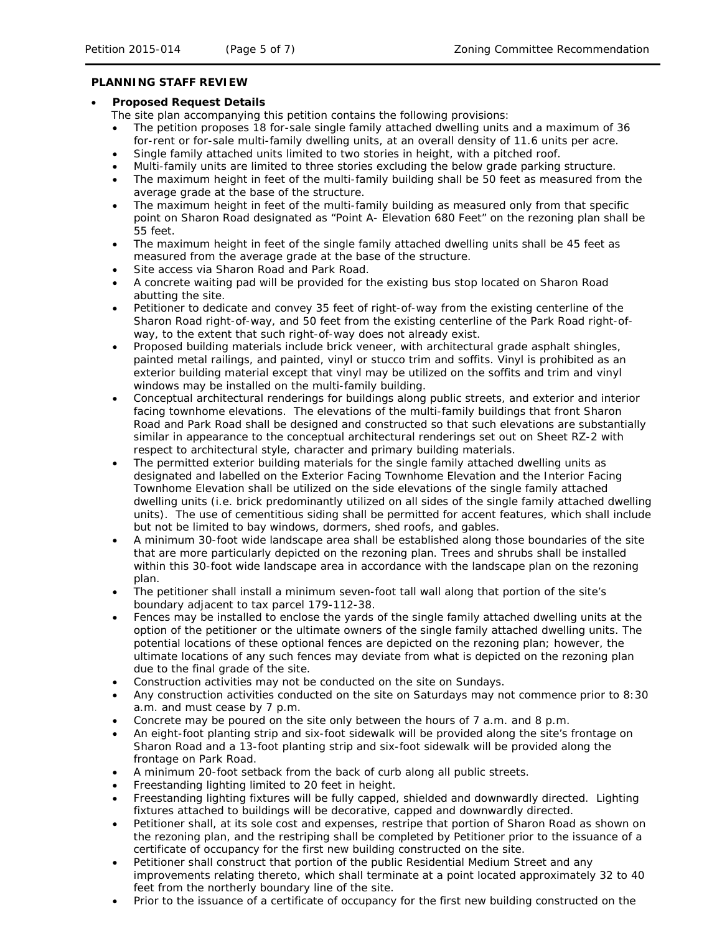#### **PLANNING STAFF REVIEW**

#### • **Proposed Request Details**

The site plan accompanying this petition contains the following provisions:

- The petition proposes 18 for-sale single family attached dwelling units and a maximum of 36 for-rent or for-sale multi-family dwelling units, at an overall density of 11.6 units per acre.
- Single family attached units limited to two stories in height, with a pitched roof.
	- Multi-family units are limited to three stories excluding the below grade parking structure.
- The maximum height in feet of the multi-family building shall be 50 feet as measured from the average grade at the base of the structure.
- The maximum height in feet of the multi-family building as measured only from that specific point on Sharon Road designated as "Point A- Elevation 680 Feet" on the rezoning plan shall be 55 feet.
- The maximum height in feet of the single family attached dwelling units shall be 45 feet as measured from the average grade at the base of the structure.
- Site access via Sharon Road and Park Road.
- A concrete waiting pad will be provided for the existing bus stop located on Sharon Road abutting the site.
- Petitioner to dedicate and convey 35 feet of right-of-way from the existing centerline of the Sharon Road right-of-way, and 50 feet from the existing centerline of the Park Road right-ofway, to the extent that such right-of-way does not already exist.
- Proposed building materials include brick veneer, with architectural grade asphalt shingles, painted metal railings, and painted, vinyl or stucco trim and soffits. Vinyl is prohibited as an exterior building material except that vinyl may be utilized on the soffits and trim and vinyl windows may be installed on the multi-family building.
- Conceptual architectural renderings for buildings along public streets, and exterior and interior facing townhome elevations. The elevations of the multi-family buildings that front Sharon Road and Park Road shall be designed and constructed so that such elevations are substantially similar in appearance to the conceptual architectural renderings set out on Sheet RZ-2 with respect to architectural style, character and primary building materials.
- The permitted exterior building materials for the single family attached dwelling units as designated and labelled on the Exterior Facing Townhome Elevation and the Interior Facing Townhome Elevation shall be utilized on the side elevations of the single family attached dwelling units (i.e. brick predominantly utilized on all sides of the single family attached dwelling units). The use of cementitious siding shall be permitted for accent features, which shall include but not be limited to bay windows, dormers, shed roofs, and gables.
- A minimum 30-foot wide landscape area shall be established along those boundaries of the site that are more particularly depicted on the rezoning plan. Trees and shrubs shall be installed within this 30-foot wide landscape area in accordance with the landscape plan on the rezoning plan.
- The petitioner shall install a minimum seven-foot tall wall along that portion of the site's boundary adjacent to tax parcel 179-112-38.
- Fences may be installed to enclose the yards of the single family attached dwelling units at the option of the petitioner or the ultimate owners of the single family attached dwelling units. The potential locations of these optional fences are depicted on the rezoning plan; however, the ultimate locations of any such fences may deviate from what is depicted on the rezoning plan due to the final grade of the site.
- Construction activities may not be conducted on the site on Sundays.
- Any construction activities conducted on the site on Saturdays may not commence prior to 8:30 a.m. and must cease by 7 p.m.
- Concrete may be poured on the site only between the hours of 7 a.m. and 8 p.m.
- An eight-foot planting strip and six-foot sidewalk will be provided along the site's frontage on Sharon Road and a 13-foot planting strip and six-foot sidewalk will be provided along the frontage on Park Road.
- A minimum 20-foot setback from the back of curb along all public streets.
- Freestanding lighting limited to 20 feet in height.
- Freestanding lighting fixtures will be fully capped, shielded and downwardly directed. Lighting fixtures attached to buildings will be decorative, capped and downwardly directed.
- Petitioner shall, at its sole cost and expenses, restripe that portion of Sharon Road as shown on the rezoning plan, and the restriping shall be completed by Petitioner prior to the issuance of a certificate of occupancy for the first new building constructed on the site.
- Petitioner shall construct that portion of the public Residential Medium Street and any improvements relating thereto, which shall terminate at a point located approximately 32 to 40 feet from the northerly boundary line of the site.
- Prior to the issuance of a certificate of occupancy for the first new building constructed on the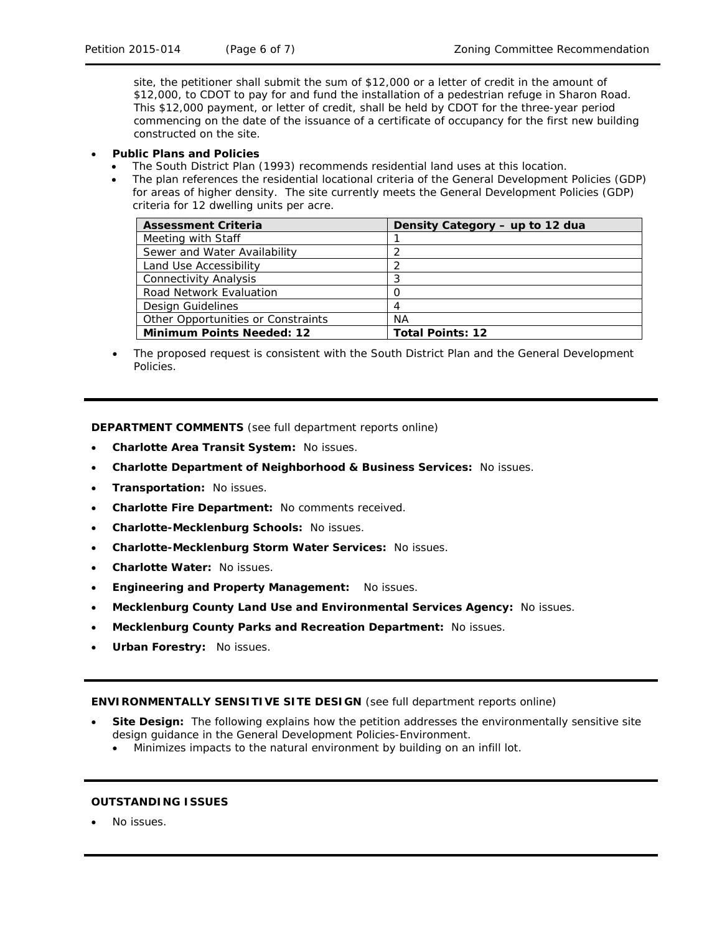site, the petitioner shall submit the sum of \$12,000 or a letter of credit in the amount of \$12,000, to CDOT to pay for and fund the installation of a pedestrian refuge in Sharon Road. This \$12,000 payment, or letter of credit, shall be held by CDOT for the three-year period commencing on the date of the issuance of a certificate of occupancy for the first new building constructed on the site.

#### • **Public Plans and Policies**

- The *South District Plan* (1993) recommends residential land uses at this location.
- The plan references the residential locational criteria of the *General Development Policies* (GDP) for areas of higher density. The site currently meets the *General Development Policies* (GDP) criteria for 12 dwelling units per acre.

| <b>Assessment Criteria</b>         | Density Category – up to 12 dua |
|------------------------------------|---------------------------------|
| Meeting with Staff                 |                                 |
| Sewer and Water Availability       |                                 |
| Land Use Accessibility             |                                 |
| <b>Connectivity Analysis</b>       | 3                               |
| Road Network Evaluation            | O                               |
| Design Guidelines                  | 4                               |
| Other Opportunities or Constraints | ΝA                              |
| <b>Minimum Points Needed: 12</b>   | <b>Total Points: 12</b>         |

• The proposed request is consistent with the *South District Plan* and the *General Development Policies*.

**DEPARTMENT COMMENTS** (see full department reports online)

- **Charlotte Area Transit System:** No issues.
- **Charlotte Department of Neighborhood & Business Services:** No issues.
- **Transportation:** No issues.
- **Charlotte Fire Department:** No comments received.
- **Charlotte-Mecklenburg Schools:** No issues.
- **Charlotte-Mecklenburg Storm Water Services:** No issues.
- **Charlotte Water:** No issues.
- **Engineering and Property Management:** No issues.
- **Mecklenburg County Land Use and Environmental Services Agency:** No issues.
- **Mecklenburg County Parks and Recreation Department:** No issues.
- **Urban Forestry:** No issues.

**ENVIRONMENTALLY SENSITIVE SITE DESIGN** (see full department reports online)

- **Site Design:** The following explains how the petition addresses the environmentally sensitive site design guidance in the *General Development Policies-Environment*.
	- Minimizes impacts to the natural environment by building on an infill lot.

# **OUTSTANDING ISSUES**

No issues.